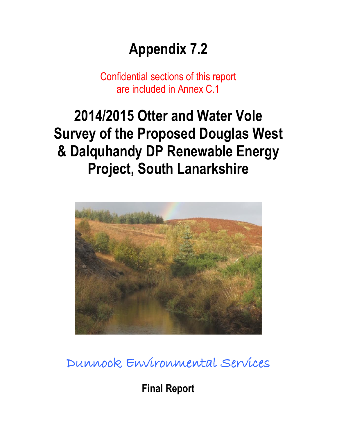# **Appendix 7.2**

Confidential sections of this report are included in Annex C.1

# **2014/2015 Otter and Water Vole Survey of the Proposed Douglas West & Dalquhandy DP Renewable Energy Project, South Lanarkshire**



Dunnock Environmental Services

**Final Report**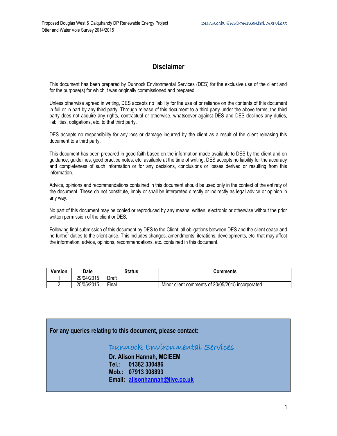## **Disclaimer**

This document has been prepared by Dunnock Environmental Services (DES) for the exclusive use of the client and for the purpose(s) for which it was originally commissioned and prepared.

Unless otherwise agreed in writing, DES accepts no liability for the use of or reliance on the contents of this document in full or in part by any third party. Through release of this document to a third party under the above terms, the third party does not acquire any rights, contractual or otherwise, whatsoever against DES and DES declines any duties, liabilities, obligations, etc. to that third party.

DES accepts no responsibility for any loss or damage incurred by the client as a result of the client releasing this document to a third party.

This document has been prepared in good faith based on the information made available to DES by the client and on guidance, guidelines, good practice notes, etc. available at the time of writing. DES accepts no liability for the accuracy and completeness of such information or for any decisions, conclusions or losses derived or resulting from this information.

Advice, opinions and recommendations contained in this document should be used only in the context of the entirety of the document. These do not constitute, imply or shall be interpreted directly or indirectly as legal advice or opinion in any way.

No part of this document may be copied or reproduced by any means, written, electronic or otherwise without the prior written permission of the client or DES.

Following final submission of this document by DES to the Client, all obligations between DES and the client cease and no further duties to the client arise. This includes changes, amendments, iterations, developments, etc. that may affect the information, advice, opinions, recommendations, etc. contained in this document.

| <b>Version</b> | Date       | <b>Status</b>      | Comments                                         |
|----------------|------------|--------------------|--------------------------------------------------|
|                | 29/04/2015 | Draft              |                                                  |
|                | 25/05/2015 | $- \cdot$<br>Final | Minor client comments of 20/05/2015 incorporated |

**For any queries relating to this document, please contact:**

#### Dunnock Environmental Services

**Dr. Alison Hannah, MCIEEM Tel.: 01382 330486 Mob.: 07913 308893 Email: [alisonhannah@live.co.uk](mailto:alisonhannah@live.co.uk)**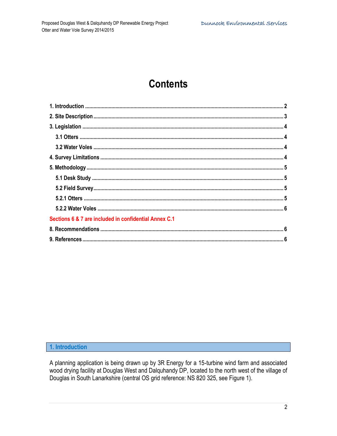# **Contents**

| Sections 6 & 7 are included in confidential Annex C.1 |  |
|-------------------------------------------------------|--|
|                                                       |  |
|                                                       |  |

### <span id="page-2-0"></span>1. Introduction

A planning application is being drawn up by 3R Energy for a 15-turbine wind farm and associated wood drying facility at Douglas West and Dalquhandy DP, located to the north west of the village of Douglas in South Lanarkshire (central OS grid reference: NS 820 325, see Figure 1).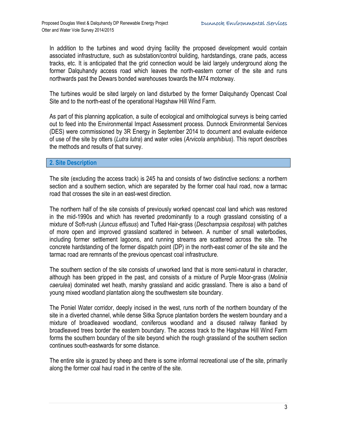In addition to the turbines and wood drying facility the proposed development would contain associated infrastructure, such as substation/control building, hardstandings, crane pads, access tracks, etc. It is anticipated that the grid connection would be laid largely underground along the former Dalquhandy access road which leaves the north-eastern corner of the site and runs northwards past the Dewars bonded warehouses towards the M74 motorway.

The turbines would be sited largely on land disturbed by the former Dalquhandy Opencast Coal Site and to the north-east of the operational Hagshaw Hill Wind Farm.

As part of this planning application, a suite of ecological and ornithological surveys is being carried out to feed into the Environmental Impact Assessment process. Dunnock Environmental Services (DES) were commissioned by 3R Energy in September 2014 to document and evaluate evidence of use of the site by otters (*Lutra lutra*) and water voles (*Arvicola amphibius*). This report describes the methods and results of that survey.

#### <span id="page-3-0"></span>**2. Site Description**

The site (excluding the access track) is 245 ha and consists of two distinctive sections: a northern section and a southern section, which are separated by the former coal haul road, now a tarmac road that crosses the site in an east-west direction.

The northern half of the site consists of previously worked opencast coal land which was restored in the mid-1990s and which has reverted predominantly to a rough grassland consisting of a mixture of Soft-rush (*Juncus effusus*) and Tufted Hair-grass (*Deschampsia cespitosa*) with patches of more open and improved grassland scattered in between. A number of small waterbodies, including former settlement lagoons, and running streams are scattered across the site. The concrete hardstanding of the former dispatch point (DP) in the north-east corner of the site and the tarmac road are remnants of the previous opencast coal infrastructure.

The southern section of the site consists of unworked land that is more semi-natural in character, although has been gripped in the past, and consists of a mixture of Purple Moor-grass (*Molinia caerulea*) dominated wet heath, marshy grassland and acidic grassland. There is also a band of young mixed woodland plantation along the southwestern site boundary.

The Poniel Water corridor, deeply incised in the west, runs north of the northern boundary of the site in a diverted channel, while dense Sitka Spruce plantation borders the western boundary and a mixture of broadleaved woodland, coniferous woodland and a disused railway flanked by broadleaved trees border the eastern boundary. The access track to the Hagshaw Hill Wind Farm forms the southern boundary of the site beyond which the rough grassland of the southern section continues south-eastwards for some distance.

The entire site is grazed by sheep and there is some informal recreational use of the site, primarily along the former coal haul road in the centre of the site.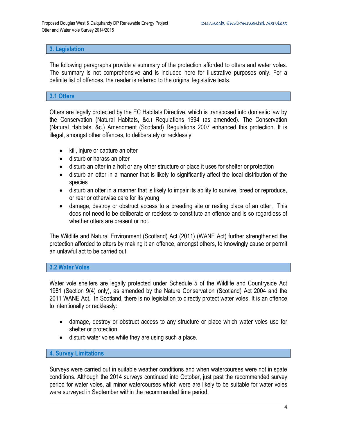#### <span id="page-4-0"></span>**3. Legislation**

The following paragraphs provide a summary of the protection afforded to otters and water voles. The summary is not comprehensive and is included here for illustrative purposes only. For a definite list of offences, the reader is referred to the original legislative texts.

#### <span id="page-4-1"></span>**3.1 Otters**

Otters are legally protected by the EC Habitats Directive, which is transposed into domestic law by the Conservation (Natural Habitats, &c.) Regulations 1994 (as amended). The Conservation (Natural Habitats, &c.) Amendment (Scotland) Regulations 2007 enhanced this protection. It is illegal, amongst other offences, to deliberately or recklessly:

- kill, injure or capture an otter
- disturb or harass an otter
- disturb an otter in a holt or any other structure or place it uses for shelter or protection
- disturb an otter in a manner that is likely to significantly affect the local distribution of the species
- disturb an otter in a manner that is likely to impair its ability to survive, breed or reproduce, or rear or otherwise care for its young
- damage, destroy or obstruct access to a breeding site or resting place of an otter. This does not need to be deliberate or reckless to constitute an offence and is so regardless of whether otters are present or not.

The Wildlife and Natural Environment (Scotland) Act (2011) (WANE Act) further strengthened the protection afforded to otters by making it an offence, amongst others, to knowingly cause or permit an unlawful act to be carried out.

#### <span id="page-4-2"></span>**3.2 Water Voles**

Water vole shelters are legally protected under Schedule 5 of the Wildlife and Countryside Act 1981 (Section 9(4) only), as amended by the Nature Conservation (Scotland) Act 2004 and the 2011 WANE Act. In Scotland, there is no legislation to directly protect water voles. It is an offence to intentionally or recklessly:

- damage, destroy or obstruct access to any structure or place which water voles use for shelter or protection
- disturb water voles while they are using such a place.

#### <span id="page-4-3"></span>**4. Survey Limitations**

Surveys were carried out in suitable weather conditions and when watercourses were not in spate conditions. Although the 2014 surveys continued into October, just past the recommended survey period for water voles, all minor watercourses which were are likely to be suitable for water voles were surveyed in September within the recommended time period.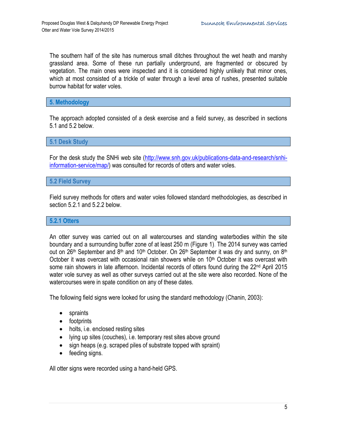The southern half of the site has numerous small ditches throughout the wet heath and marshy grassland area. Some of these run partially underground, are fragmented or obscured by vegetation. The main ones were inspected and it is considered highly unlikely that minor ones, which at most consisted of a trickle of water through a level area of rushes, presented suitable burrow habitat for water voles.

<span id="page-5-0"></span>**5. Methodology**

The approach adopted consisted of a desk exercise and a field survey, as described in sections 5.1 and 5.2 below.

<span id="page-5-1"></span>**5.1 Desk Study**

For the desk study the SNHi web site [\(http://www.snh.gov.uk/publications-data-and-research/snhi](http://www.snh.gov.uk/publications-data-and-research/snhi-information-service/map/)[information-service/map/\)](http://www.snh.gov.uk/publications-data-and-research/snhi-information-service/map/) was consulted for records of otters and water voles.

#### <span id="page-5-2"></span>**5.2 Field Survey**

Field survey methods for otters and water voles followed standard methodologies, as described in section 5.2.1 and 5.2.2 below.

#### <span id="page-5-3"></span>**5.2.1 Otters**

An otter survey was carried out on all watercourses and standing waterbodies within the site boundary and a surrounding buffer zone of at least 250 m (Figure 1). The 2014 survey was carried out on 26<sup>th</sup> September and 8<sup>th</sup> and 10<sup>th</sup> October. On 26<sup>th</sup> September it was dry and sunny, on 8<sup>th</sup> October it was overcast with occasional rain showers while on  $10<sup>th</sup>$  October it was overcast with some rain showers in late afternoon. Incidental records of otters found during the 22<sup>nd</sup> April 2015 water vole survey as well as other surveys carried out at the site were also recorded. None of the watercourses were in spate condition on any of these dates.

The following field signs were looked for using the standard methodology (Chanin, 2003):

- spraints
- footprints
- holts, i.e. enclosed resting sites
- lying up sites (couches), i.e. temporary rest sites above ground
- sign heaps (e.g. scraped piles of substrate topped with spraint)
- feeding signs.

All otter signs were recorded using a hand-held GPS.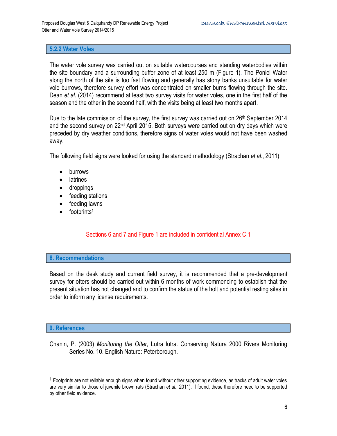#### <span id="page-6-0"></span>**5.2.2 Water Voles**

The water vole survey was carried out on suitable watercourses and standing waterbodies within the site boundary and a surrounding buffer zone of at least 250 m (Figure 1). The Poniel Water along the north of the site is too fast flowing and generally has stony banks unsuitable for water vole burrows, therefore survey effort was concentrated on smaller burns flowing through the site. Dean *et al*. (2014) recommend at least two survey visits for water voles, one in the first half of the season and the other in the second half, with the visits being at least two months apart.

Due to the late commission of the survey, the first survey was carried out on 26<sup>th</sup> September 2014 and the second survey on  $22<sup>nd</sup>$  April 2015. Both surveys were carried out on dry days which were preceded by dry weather conditions, therefore signs of water voles would not have been washed away.

The following field signs were looked for using the standard methodology (Strachan *et al*., 2011):

- burrows
- latrines
- droppings
- feeding stations
- feeding lawns
- $\bullet$  footprints<sup>1</sup>

### Sections 6 and 7 and Figure 1 are included in confidential Annex C.1

#### <span id="page-6-1"></span>**8. Recommendations**

Based on the desk study and current field survey, it is recommended that a pre-development survey for otters should be carried out within 6 months of work commencing to establish that the present situation has not changed and to confirm the status of the holt and potential resting sites in order to inform any license requirements.

#### <span id="page-6-2"></span>**9. References**

 $\overline{a}$ 

Chanin, P. (2003) *Monitoring the Otter,* Lutra lutra. Conserving Natura 2000 Rivers Monitoring Series No. 10. English Nature: Peterborough.

 $1$  Footprints are not reliable enough signs when found without other supporting evidence, as tracks of adult water voles are very similar to those of juvenile brown rats (Strachan *et al*., 2011). If found, these therefore need to be supported by other field evidence.